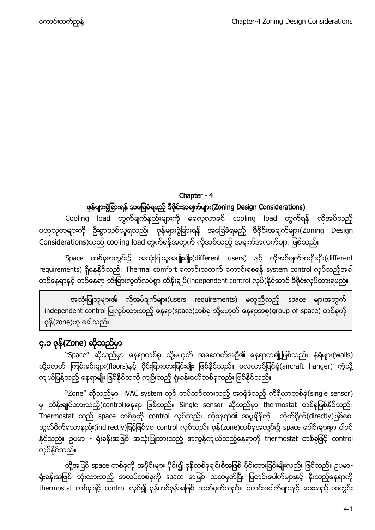# Chapter - 4 ဇုန်များရွဲခြားရန် အခြေခံရမည့် ဒီဇိုင်းအချက်များ(Zoning Design Considerations)

Cooling load တွက်ချက်နည်းများကို မလေ့လာခင် cooling load တွက်ရန် လိုအပ်သည့် ဗဟုသုတများကို ဦးစွာသင်ယူရသည်။ ဇုန်များခွဲခြားရန် အခြေခံရမည့် ဒီဇိုင်းအချက်များ(Zoning Design Considerations)သည် cooling load တွက်ရန်အတွက် လိုအပ်သည့် အချက်အလက်များ ဖြစ်သည်။

Space တစ်ခုအတွင်း၌ အသုံးပြုသူအမျိုးမျိုး(different users) နင့် လိုအပ်ချက်အမျိုးမျိုး(different requirements) ရှိနေနိုင်သည်။ Thermal comfort ကောင်းသထက် ကောင်းစေရန် system control လုပ်သည့်အခါ တစ်နေရာနှင့် တစ်နေရာ သီးခြားလွတ်လပ်စွာ ထိန်းချုပ်(independent control လုပ်)နိုင်အာင် ဒီဇိုင်းလုပ်ထားရမည်။

အသုံးပြုသူများ၏ လိုအပ်ချက်များ(users requirements) မတူညီသည့် space များအတွက် independent control ပြုလုပ်ထားသည့် နေရာ(space)တစ်ခု သို့မဟုတ် နေရာအစု(group of space) တစ်ခုကို ဇုန်(zone)ဟု ခေါ်သည်။

# <span id="page-0-0"></span>၄.၁ ဇုန္(Zone) ဆုိသည္မွာ

``Space" ဆိုသည်မှာ နေရာတစ်ခု သို့မဟုတ် အဆောက်အဦ၏ နေရာတချို့ဖြစ်သည်။ နံရံများ(walls) သို့မဟုတ် ကြမ်းခင်းများ(floors)နင့် ပိုင်းခြားထားခြင်းမျိုး ဖြစ်နိုင်သည်။ လေယာဉ်ပြင်ရုံ(aircraft hanger) ကဲ့သို့ ကျယ်ပြန့်သည့် နေရာမျိုး ဖြစ်နိုင်သလို ကျဉ်းသည့် ရုံးခန်းငယ်တစ်ခုလည်း ဖြစ်နိုင်သည်။

"Zone" ဆိုသည်မှာ HVAC system တွင် တပ်ဆင်ထားသည့် အာရုံခံသည့် ကိရိယာတစ်ခု(single sensor) မှ ထိန်းချုပ်ထားသည့်(control)နေရာ ဖြစ်သည်။ Single sensor ဆိုသည်မှာ thermostat တစ်ခုဖြစ်နိုင်သည်။ Thermostat သည် space တစ်ခုကို control လုပ်သည်။ ထိုနေရာ၏ အပူချိန်ကို တိုက်ရိုက်(directly)ဖြစ်စေ၊ သွယ်ဝိုက်သောနည်း(indirectly)ဖြင့်ဖြစ်စေ control လုပ်သည်။ ဇုန်(zone)တစ်ခုအတွင်း၌ space ပေါင်းများစွာ ပါဝင် ႏုိင္သည္။ ဥပမာ - ႐ုံးခန္းအျဖစ္ အသုံးျပဳထားသည့္ အလြန္က်ယ္သည့္ေနရာကို thermostat တစ္ခုျဖင့္ control လုပ်ိနိုင်သည်။

ထို့အပြင် space တစ်ခုကို အပိုင်းများ ပိုင်း၍ ဇုန်တစ်ခုချင်းစီအဖြစ် ပိုင်းထားခြင်းမျိုးလည်း ဖြစ်သည်။ ဥပမာ-ရုံးခန်းအဖြစ် သုံးထားသည့် အထပ်တစ်ခုကို space အဖြစ် သတ်မှတ်ပြီး ပြတင်းပေါက်များနှင့် နီးသည့်နေရာကို thermostat တစ်ခုဖြင့် control လုပ်၍ ဇုန်တစ်ဇုန်အဖြစ် သတ်မှတ်သည်။ ပြတင်းပေါက်များနှင့် ဝေးသည့် အတွင်း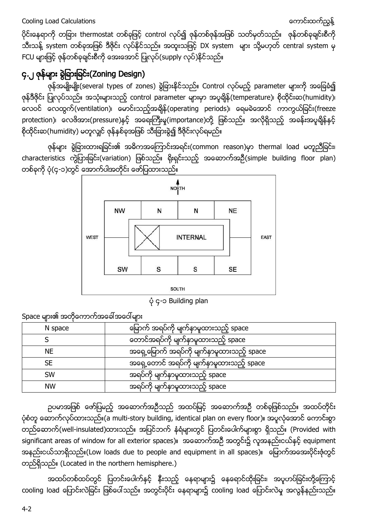ပိုင်းနေရာကို တခြား thermostat တစ်ခုဖြင့် control လုပ်၍ ဇုန်တစ်ဇုန်အဖြစ် သတ်မှတ်သည်။ ဇုန်တစ်ခုချင်းစီကို သီးသန့် system တစ်ခုအဖြစ် ဒီဇိုင်း လုပ်နိုင်သည်။ အထူးသဖြင့် DX system များ သို့မဟုတ် central system မှ FCU များဖြင့် ဇုန်တစ်ခုချင်းစီကို အေးအောင် ပြုလုပ်(supply လုပ်)နိုင်သည်။

# <span id="page-1-0"></span>၄.၂ ဇုန္မ်ား ခြဲျခားျခင္း(Zoning Design)

ဇုန်အမျိုးမျိုး(several types of zones) ခွဲခြားနိုင်သည်။ Control လုပ်မည့် parameter များကို အခြေခံ၍ ဇုန်ဒီဇိုင်း ပြုလုပ်သည်။ အသုံးများသည့် control parameter များမှာ အပူချိန်(temperature)၊ စိုထိုင်းဆ(humidity)၊ ေလ၀င္ ေလထြက္(ventilation)၊ ေမာင္းသည့္အခ်ိန္(operating periods)၊ ေရမခဲေအာင္ ကာကြယ္ျခင္း(freeze protection)၊ လေဗိအား(pressure)နင့် အရေးကြီးမူ(importance)တို့ ဖြစ်သည်။ အလိုရှိသည့် အခန်းအပူချိန်နှင့် စိုထိုင်းဆ(humidity) မတူလျှင် ဇုန်နှစ်ခုအဖြစ် သီးခြားခွဲ၍ ဒီဇိုင်းလုပ်ရမည်။

ဇုန္မ်ား ခြဲျခားထားရျခင္း၏ အဓိကအေၾကာင္းအရင္း(common reason)မွာ thermal load မတူညီျခင္း၊ characteristics ကွဲပြားခြင်း(variation) ဖြစ်သည်။ ရိုးရှင်းသည့် အဆောက်အဉီ(simple building floor plan) တစ်ခုကို ပုံ(၄-၁)တွင် အောက်ပါအတိုင်း ဖော်ပြထားသည်။



ပံု၄-၁ Building plan

Space များ၏ အတိုကောက်အခေါ်အဝေါ်များ

| N space   | မြောက် အရပ်ကို မျက်နာမူထားသည့် space      |
|-----------|-------------------------------------------|
|           | တောင်အရပ်ကို မျက်နာမူထားသည့် space        |
| <b>NE</b> | အရှေ့မြောက် အရပ်ကို မျက်နာမူထားသည့် space |
| <b>SE</b> | အရှေ့တောင် အရပ်ကို မျက်နာမူထားသည့် space  |
| <b>SW</b> | အရပ်ကို မျက်နာမူထားသည့် space             |
| <b>NW</b> | အရပ်ကို မျက်နာမှုထားသည့် space            |

ဥပမာအဖြစ် ဖော်ပြမည့် အဆောက်အဦသည် အထပ်မြင့် အဆောက်အဦ တစ်ခုဖြစ်သည်။ အထပ်တိုင်း ပုံစံတူ ေဆာက်လုပ်ထားသည်။(a multi-story building, identical plan on every floor)။ အပူလုံအောင် ကောင်းစွာ တည်ဆောက်(well-insulated)ထားသည်။ အပြင်ဘက် နံရံများတွင် ပြတင်းပေါက်များစွာ ရှိသည်။ (Provided with significant areas of window for all exterior spaces)။ အထောက်အဦ အတွင်း၌ လူအနည်းငယ်နှင့် equipment အနည်းငယ်သာရှိသည်။(Low loads due to people and equipment in all spaces)။ မြောက်အအေးပိုင်းဇုံတွင် တည္ရွိသည္။ (Located in the northern hemisphere.)

အထပ်တစ်ထပ်တွင် ပြတင်းပေါက်နှင့် နီးသည့် နေရာများ၌ နေရောင်ထိုးခြင်း၊ အပူဟပ်ခြင်းတို့ကြောင့် cooling load ပြောင်းလဲခြင်း ဖြစ်ပေါ်သည်။ အတွင်းပိုင်း နေရာများ၌ cooling load ပြောင်းလဲမှု အလွန်နည်းသည်။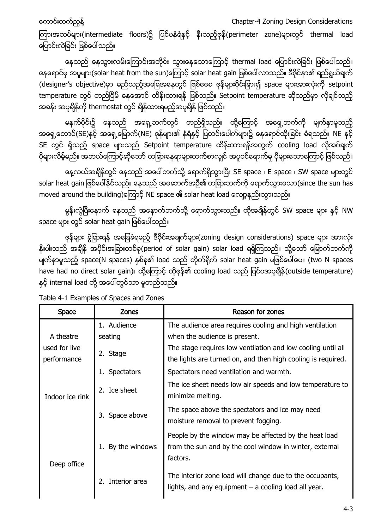ေကာင္းထက္ၫြန္႔ Chapter-4 Zoning Design Considerations

ကြားအထပ်များ(intermediate floors)၌ ပြင်ပနံရံနှင့် နီးသည့်ဇုန်(perimeter zone)များတွင် thermal load ပြောင်းလဲခြင်း ဖြစ်ပေါ်သည်။

နေသည် နေသွားလမ်းကြောင်းအတိုင်း သွားနေသောကြောင့် thermal load ပြောင်းလဲခြင်း ဖြစ်ပေါ်သည်။ နေရောင်မှ အပူများ(solar heat from the sun)ေကြာင့် solar heat gain ဖြစ်ပေါ်လာသည်။ ဒီဇိုင်နာ၏ ရည်ရွယ်ချက် (designer's objective)မှာ မည်သည့်အခြေအနေတွင် ဖြစ်စေေ ဇုန်များပိုင်းခြား၍ space များအားလုံးကို setpoint temperature တွင် တည်ငြိမ် နေအောင် ထိန်းထားရန် ဖြစ်သည်။ Setpoint temperature ဆိုသည်မှာ လိုချင်သည့် အခန်း အပူချိန်ကို thermostat တွင် ချိန်ထားရမည့်အပူချိန် ဖြစ်သည်။

မနက်ပိုင်း၌ နေသည် အရှေ့ဘက်တွင် တည်ရှိသည်။ ထို့ကြောင့် အရှေ့ဘက်ကို မျက်နာမူသည့် အရှေ့တောင်(SE)နှင့် အရှေ့မြောက်(NE) ဇုန်များ၏ နံရံနင့် ပြတင်းပေါက်များ၌ နေရောင်ထိုးခြင်း ခံရသည်။ NE နှင့် SE တွင် ရှိသည့် space များသည် Setpoint temperature ထိန်းထားရန်အတွက် cooling load လိုအပ်ချက် ပိုများလိမ့်မည်။ အဘယ်ကြောင့်ဆိုသော် တခြားနေရာများထက်စာလျင် အပူဝင်ရောက်မှု ပိုများသောကြောင့် ဖြစ်သည်။

နေ့လယ်အချိန်တွင် နေသည် အပေါ်ဘက်သို့ ရောက်ရှိသွားပြီး SE space ၊ E space ၊ SW space များတွင် solar heat gain ဖြစ်ပေါ်နိုင်သည်။ နေသည် အဆောက်အဉီ၏ တခြားဘက်ကို ရောက်သွားသော(since the sun has moved around the building)ကြောင့် NE space ၏ solar heat load လျော့နည်းသွားသည်။

မွန်းလွဲပြီးနောက် နေသည် အနောက်ဘက်သို့ ရောက်သွားသည်။ ထိုအချိန်တွင် SW space များ နှင့် NW space များ တွင် solar heat gain ဖြစ်ပေါ်သည်။

ဇုန်များ ခွဲခြားရန် အခြေခံရမည့် ဒီဇိုင်းအချက်များ(zoning design considerations) space များ အားလုံး နီးပါးသည် အချိန် အပိုင်းအခြားတစ်ခု(period of solar gain) solar load ရရှိကြသည်။ သို့သော် မြောက်ဘက်ကို မျက်နှာမူသည့် space(N spaces) နှစ်ခု၏ load သည် တိုက်ရိုက် solar heat gain မဖြစ်ပေါ်ပေ။ (two N spaces have had no direct solar gain)။ ထို့ကြောင့် ထိုဇုန်၏ cooling load သည် ပြင်ပအပူချိန်(outside temperature) နှင့် internal load တို့ အပေါ်တွင်သာ မူတည်သည်။

| <b>Space</b>    | <b>Zones</b>         | Reason for zones                                                                                                             |
|-----------------|----------------------|------------------------------------------------------------------------------------------------------------------------------|
|                 | 1. Audience          | The audience area requires cooling and high ventilation                                                                      |
| A theatre       | seating              | when the audience is present.                                                                                                |
| used for live   | 2. Stage             | The stage requires low ventilation and low cooling until all                                                                 |
| performance     |                      | the lights are turned on, and then high cooling is required.                                                                 |
| Indoor ice rink | 1. Spectators        | Spectators need ventilation and warmth.                                                                                      |
|                 | 2.<br>Ice sheet      | The ice sheet needs low air speeds and low temperature to<br>minimize melting.                                               |
|                 | 3. Space above       | The space above the spectators and ice may need<br>moisture removal to prevent fogging.                                      |
| Deep office     | By the windows<br>1. | People by the window may be affected by the heat load<br>from the sun and by the cool window in winter, external<br>factors. |
|                 | Interior area        | The interior zone load will change due to the occupants,<br>lights, and any equipment - a cooling load all year.             |

Table 4-1 Examples of Spaces and Zones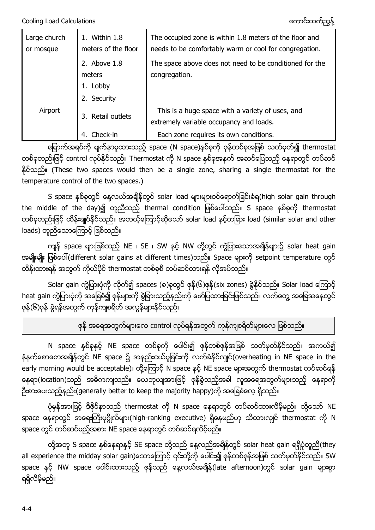Cooling Load Calculations ေကာင္းထက္ၫြန္႔

| Large church<br>or mosque | Within 1.8<br>meters of the floor | The occupied zone is within 1.8 meters of the floor and<br>needs to be comfortably warm or cool for congregation. |
|---------------------------|-----------------------------------|-------------------------------------------------------------------------------------------------------------------|
|                           | 2. Above 1.8                      | The space above does not need to be conditioned for the                                                           |
|                           | meters                            | congregation.                                                                                                     |
|                           | Lobby                             |                                                                                                                   |
|                           | Security                          |                                                                                                                   |
| Airport                   | Retail outlets                    | This is a huge space with a variety of uses, and<br>extremely variable occupancy and loads.                       |
|                           | Check-in                          | Each zone requires its own conditions.                                                                            |

မြောက်အရပ်ကို မျက်နှာမူထားသည့် space (N space)နှစ်ခုကို ဇုန်တစ်ခုအဖြစ် သတ်မှတ်၍ thermostat တစ်ခုတည်းဖြင့် control လုပ်နိုင်သည်။ Thermostat ကို N space နစ်ခုအနက် အဆင်ပြေသည့် နေရာတွင် တပ်ဆင် ႏိုင္သည္။ (These two spaces would then be a single zone, sharing a single thermostat for the temperature control of the two spaces.)

S space နှစ်ခုတွင် နေ့လယ်အချိန်တွင် solar load များများဝင်ရောက်ခြင်းခံရ(high solar gain through the middle of the day)၍ တူညီသည့် thermal condition ဖြစ်ပေါ်သည်။ S space နစ်ခုကို thermostat တစ်ခုတည်းဖြင့် ထိန်းချုပ်နိုင်သည်။ အဘယ့်ကြောင့်ဆိုသော် solar load နှင့်တခြား load (similar solar and other loads) တူညီသောကြောင့် ဖြစ်သည်။

ကျန် space များဖြစ်သည့် NE ၊ SE ၊ SW နှင့် NW တို့တွင် ကွဲပြားသောအချိန်များ၌ solar heat gain အမျိုးမျိုး ဖြစ်ပေါ် (different solar gains at different times)သည်။ Space များကို setpoint temperature တွင် ထိန်းထားရန် အတွက် ကိုယ်ပိုင် thermostat တစ်ခုစီ တပ်ဆင်ထားရန် လိုအပ်သည်။

Solar gain ကွဲပြားပုံကို လိုက်၍ spaces (၈)ခုတွင် ဇုန်(၆)ဇုန်(six zones) ခွဲနိုင်သည်။ Solar load ကြောင့် heat gain ကွဲပြားပုံကို အခြေခံ၍ ဇုန်များကို ခွဲခြားသည့်နည်းကို ဖော်ပြထားခြင်းဖြစ်သည်။ လက်တွေ့ အခြေအနေတွင် ဇုန်(၆)ဇုန် ခွဲရန်အတွက် ကုန်ကျစရိတ် အလွန်များနိုင်သည်။

ဇုန် အရေအတွက်များလေ control လုပ်ရန်အတွက် ကုန်ကျစရိတ်များလေ ဖြစ်သည်။

N space နစ်ခုနှင့် NE space တစ်ခုကို ပေါင်း၍ ဇုန်တစ်ဇုန်အဖြစ် သတ်မှတ်နိုင်သည်။ အကယ်၍ နံနက်စောစောအချိန်တွင် NE space ၌ အနည်းငယ်ပူခြင်းကို လက်ခံနိုင်လျှင်(overheating in NE space in the early morning would be acceptable)။ ထို့ကြောင့် N space နှင့် NE space များအတွက် thermostat တပ်ဆင်ရန် နေရာ(location)သည် အဓိကကျသည်။ ယေဘုယျအားဖြင့် ဇုန်ခွဲသည့်အခါ လူအရေအတွက်များသည့် နေရာကို ဦးစားပေးသည့်နည်း(generally better to keep the majority happy)ကို အခြေခံလေ့ ရှိသည်။

ပုံမှန်အားဖြင့် ဒီဇိုင်နာသည် thermostat ကို N space နေရာတွင် တပ်ဆင်ထားလိမ့်မည်။ သို့သော် NE space နေရာတွင် အရေးကြီးပုဂ္ဂိုလ်များ(high-ranking executive) ရှိနေမည်ဟု သိထားလျှင် thermostat ကို N space တွင် တပ်ဆင်မည့်အစား NE space နေရာတွင် တပ်ဆင်ရလိမ့်မည်။

ထို့အတူ S space နစ်နေရာနှင့် SE space တို့သည် နေ့လည်အချိန်တွင် solar heat gain ရရှိပုံတူညီ(they all experience the midday solar gain)သောကြောင့် ၎င်းတို့ကို ပေါင်း၍ ဇုန်တစ်ဇုန်အဖြစ် သတ်မှတ်နိုင်သည်။ SW space နှင့် NW space ပေါင်းထားသည့် ဇုန်သည် နေ့လယ်အချိန်(late afternoon)တွင် solar gain များစွာ ရရိွလိမ့္မည္။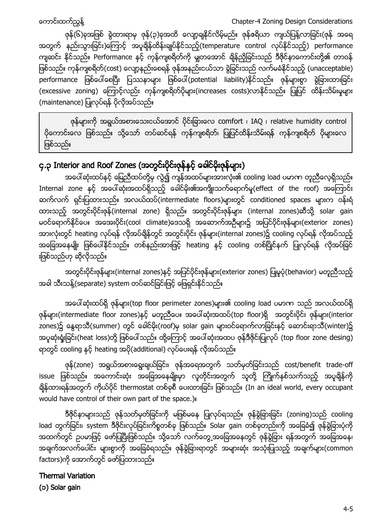ေကာင္းထက္ၫြန္႔ Chapter-4 Zoning Design Considerations

ဇုန်(၆)ခုအဖြစ် ခွဲထားရာမှ ဇုန်(၃)ခုအထိ လျော့ချနိုင်လိမ့်မည်။ ဇုန်ဇရိယာ ကျယ်ပြန့်လာခြင်း(ဇုန် အရေ အတွက် နည်းသွားခြင်း)ေကြာင့် အပူချိန်ထိန်းချုပ်နိုင်သည့်(temperature control လုပ်နိုင်သည့်) performance ကျဆင်း နိုင်သည်။ Performance နှင့် ကုန်ကျစရိတ်ကို မျှတအောင် ရှိန်ညှိခြင်းသည် ဒီဇိုင်နာကောင်းတို့၏ တာဝန် ဖြစ်သည်။ ကုန်ကျစရိတ်(cost) လျော့နည်းစေရန် ဇုန်အနည်းငယ်သာ ခွဲခြင်းသည် လက်မခံနိုင်သည့် (unacceptable) performance ဖြစ်ပေါ်စေပြီး ပြဿနာများ ဖြစ်ပေါ်(potential liability)နိုင်သည်။ ဇုန်များစွာ ခွဲခြားထားခြင်း (excessive zoning) ကြောင့်လည်း ကုန်ကျစရိတ်ပိုများ(increases costs)လာနိုင်သည်။ ပြုပြင် ထိန်းသိမ်းမှုများ (maintenance) ပြုလုပ်ရန် ပိုလိုအပ်သည်။

ဇုန်များကို အရွယ်အစားသေးငယ်အောင် ပိုင်းခြားလေ comfort ၊ IAQ ၊ relative humidity control ပိုကောင်းလေ ဖြစ်သည်။ သို့သော် တပ်ဆင်ရန် ကုန်ကျစရိတ်၊ ပြုပြင်ထိန်းသိမ်းရန် ကုန်ကျစရိတ် ပိုများလေ ဖြစ်သည်။

# <span id="page-4-0"></span>၄.၃ Interior and Roof Zones (အတွင်းပိုင်းဇုန်နှင့် ခေါင်မိုးဇုန်များ)

အပေါ်ဆုံးထပ်နှင့် မြေညီထပ်တို့မှ လွဲ၍ ကျန်အထပ်များအားလုံး၏ cooling load ပမာဏ တူညီလေ့ရှိသည်။ Internal zone နှင့် အပေါ်ဆုံးအထပ်ရှိသည့် ခေါင်မိုး၏အကျိုးသက်ရောက်မှု(effect of the roof) အကြောင်း ဆက်လက် ရှင်းပြထားသည်။ အလယ်ထပ်(intermediate floors)များတွင် conditioned spaces များက ဝန်းရံ ထားသည့် အတွင်းပိုင်းဇုန်(internal zone) ရှိသည်။ အတွင်းပိုင်းဇုန်များ (internal zones)ဆီသို့ solar gain မဝင်ရောက်နိုင်ပေ။ အအေးပိုင်း(cool climate)ဒေသရှိ အဆောက်အဦများ၌ အပြင်ပိုင်းဇုန်များ(exterior zones) အားလုံးတွင် heating လုပ်ရန် လိုအပ်ရိန်တွင် အတွင်းပိုင်း ဇုန်များ(internal zones)၌ cooling လုပ်ရန် လိုအပ်သည့် အခြေအနေမျိုး ဖြစ်ပေါ်နိုင်သည်။ တစ်နည်းအားဖြင့် heating နှင့် cooling တစ်ပြိုင်နက် ပြုလုပ်ရန် လိုအပ်ခြင် းဖြစ်သည်ဟု ဆိုလိုသည်။

အတွင်းပိုင်းဇုန်များ(internal zones)နှင့် အပြင်ပိုင်းဇုန်များ(exterior zones) ပြုမူပုံ(behavior) မတူညီသည့် အခါ သီးသန့်(separate) system တပ်ဆင်ခြင်းဖြင့် ဖြေရှင်းနိုင်သည်။

အပေါ်ဆုံးထပ်ရှိ ဇုန်များ(top floor perimeter zones)များ၏ cooling load ပမာဏ သည် အလယ်ထပ်ရှိ ဇုန်များ(intermediate floor zones)နှင့် မတူညီပေ။ အပေါ်ဆုံးအထပ်(top floor)ရှိ အတွင်းပိုင်း ဇုန်များ(interior zones)၌ နွေရာသီ(summer) တွင် ခေါင်မိုး(roof)မှ solar gain များဝင်ရောက်လာခြင်းနှင့် ဆောင်းရာသီ(winter)၌ အပူဆုံးရှုံးခြင်း(heat loss)တို့ ဖြစ်ပေါ်သည်။ ထို့ကြောင့် အပေါ်ဆုံးအထပ ဇုန်ဒီဇိုင်းပြုလုပ် (top floor zone desing) ရာတွင် cooling နှင့် heating အပို(additional) လုပ်ပေးရန် လိုအပ်သည်။

ဇုန်(zone) အရွယ်အစားရွေးချယ်ခြင်း၊ ဇုန်အရေအတွက် သတ်မှတ်ခြင်းသည် cost/benefit trade-off issue ဖြစ်သည်။ အကောင်းဆုံး အခြေအနေမျိုးမှာ လူတိုင်းအတွက် သူတို့ ကြိုက်နစ်သက်သည့် အပူချိန်ကို ခ်ိန္ထားရန္အတြက္ကိုယ္ပိုင္thermostat တစ္ခုစီေပးထားျခင္း ျဖစ္သည္။ (In an ideal world, every occupant would have control of their own part of the space.)။

ဒီဇိုင်နာများသည် ဇုန်သတ်မှတ်ခြင်းကို မဖြစ်မနေ ပြုလုပ်ရသည်။ ဇုန်ခွဲခြားခြင်း (zoning)သည် cooling load တွက်ခြင်း၊ system ဒီဇိုင်းလုပ်ခြင်းကိစ္စတစ်ခု ဖြစ်သည်။ Solar gain တစ်ခုတည်းကို အခြေခံ၍ ဇုန်ခွဲခြားပုံကို အထက်တွင် ဥပမာဖြင့် ဖော်ပြပြီးဖြစ်သည်။ သို့သော် လက်တွေ့အခြေအနေတွင် ဇုန်ခွဲခြား ရန်အတွက် အခြေအနေ၊ အချက်အလက်ပေါင်း များစွာကို အခြေခံရသည်။ ဇုန်ခွဲခြားရာတွင် အများဆုံး အသုံးပြုသည့် အချက်များ(common factors)ကို ေအာက်တွင် ဖော်ပြထားသည်။

# Thermal Variation

(၁) Solar gain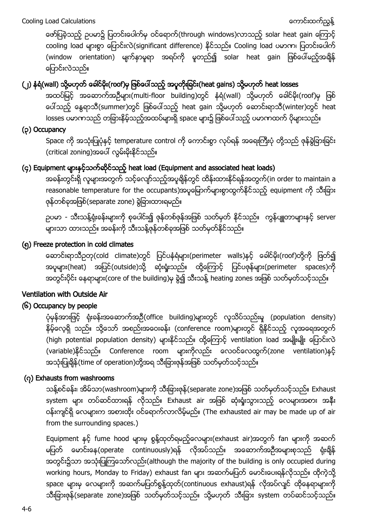ေဖာ္ျပခဲ့သည့္ ဥပမာ၌ ျပတင္းေပါက္မွ ၀င္ေရာက္(through windows)လာသည့္ solar heat gain ေၾကာင့္ cooling load များစွာ ေပြာင်းလဲ(significant difference) နိုင်သည်။ Cooling load ပမာဏ၊ ပြတင်းပေါက် (window orientation) မျက်နာမူရာ အရပ်ကို မူတည်၍ solar heat gain ဖြစ်ပေါ်မည့်အချိန် ေျပာင္းလဲသည္။

# (၂) နံရံ(wall) သို့မဟုတ် ခေါင်မိုး(roof)မှ ဖြစ်ပေါ်သည့် အပူတိုးခြင်း(heat gains) သို့မဟုတ် heat losses

အထပ်မြင့် အဆောက်အဦများ(multi-floor building)တွင် နံရံ(wall) သို့မဟုတ် ခေါင်မိုး(roof)မှ ဖြစ် ပေါ်သည့် နွေရာသီ(summer)တွင် ဖြစ်ပေါ်သည့် heat gain သို့မဟုတ် ေဆာင်းရာသီ(winter)တွင် heat losses ပမာဏသည် တခြားနိမ့်သည့်အထပ်များရှိ space များ၌ ဖြစ်ပေါ်သည့် ပမာဏထက် ပိုများသည်။

## (၃) Occupancy

Space ကို အသုံးပြုပုံနှင့် temperature control ကို ေကာင်းစွာ လုပ်ရန် အရေးကြီးပုံ တို့သည် ဇုန်ခွဲခြားခြင်း (critical zoning)အပေါ် လွမ်းမိုးနိုင်သည်။

# (၄) Equipment များနှင့်သက်ဆိုင်သည့် heat load (Equipment and associated heat loads)

အခန်းတွင်းရှိ လူများအတွက် သင့်လျော်သည့်အပူချိန်တွင် ထိန်းထားနိုင်ရန်အတွက်(in order to maintain a reasonable temperature for the occupants)အပူေမြာက်များစွာထွက်နိုင်သည့် equipment ကို သီးခြား ဇုန္တစ္ခုအျဖစ္(separate zone) ခြဲျခားထားရမည္။

ဥပမာ - သီးသန့်ရုံးခန်းများကို စုပေါင်း၍ ဇုန်တစ်ဇုန်အဖြစ် သတ်မှတ် နိုင်သည်။ ကွန်ပျူတာများနှင့် server များသာ ထားသည်။ အခန်းကို သီးသန့်ဇုန်တစ်ခုအဖြစ် သတ်မှတ်နိုင်သည်။

## (၅) Freeze protection in cold climates

ဆောင်းရာသီဥတု(cold climate)တွင် ပြင်ပနံရံများ(perimeter walls)နှင့် ခေါင်မိုး(roof)တို့ကို ဖြတ်၍ အပူများ(heat) အပြင်(outside)သို့ ဆုံးရှုံးသည်။ ထို့ကြောင့် ပြင်ပဇုန်များ(perimeter spaces)ကို အတွင်းပိုင်း နေရာများ(core of the building)မှ ခွဲ၍ သီးသန့် heating zones အဖြစ် သတ်မှတ်သင့်သည်။

## Ventilation with Outside Air

## (၆) Occupancy by people

ပုံမှန်အားဖြင့် ရုံးခန်းအဆောက်အဉီ(office building)များတွင် လူသိပ်သည်းမှု (population density) နိမ့်လေ့ရှိ သည်။ သို့သော် အစည်းအဝေးခန်း (conference room)များတွင် ရှိနိုင်သည့် လူအရေအတွက် (high potential population density) များနိုင်သည်။ ထို့ကြောင့် ventilation load အမျိုးမျိုး ပြောင်းလဲ (variable)နိုင်သည်။ Conference room များကိုလည်း လေဝင်လေထွက်(zone ventilation)နင့် အသုံးပြုချိန် (time of operation)တို့အရ သီးခြားဇုန်အဖြစ် သတ်မှတ်သင့်သည်။

## (၇) Exhausts from washrooms

သန့်စင်ခန်း၊ အိမ်သာ(washroom)များကို သီးခြားဇုန်(separate zone)အဖြစ် သတ်မှတ်သင့်သည်။ Exhaust system များ တပ်ဆင်ထားရန် လိုသည်။ Exhaust air အဖြစ် ဆုံးရှုံးသွားသည့် လေများအစား အနီး ဝန်းကျင်ရှိ လေများက အစားထိုး ဝင်ရောက်လာလိမ့်မည်။ (The exhausted air may be made up of air from the surrounding spaces.)

Equipment နှင့် fume hood များမှ စွန့်ထုတ်ရမည့်လေများ(exhaust air)အတွက် fan များကို အဆက် မပြတ် မောင်းနေ(operate continuously)ရန် လိုအပ်သည်။ အဆောက်အဦအများစုသည် ရုံးချိန် အတွင်း၌သာ အသုံးပြုကြသော်လည်း(although the majority of the building is only occupied during working hours, Monday to Friday) exhaust fan များ အဆက်မပြတ် မောင်းပေးရန်လိုသည်။ ထိုကဲ့သို့ space များမှ လေများကို အဆက်မပြတ်စွန့်ထုတ်(continuous exhaust)ရန် လိုအပ်လျင် ထိုနေရာများကို သီးခြားဇုန်(separate zone)အဖြစ် သတ်မှတ်သင့်သည်။ သို့မဟုတ် သီးခြား system တပ်ဆင်သင့်သည်။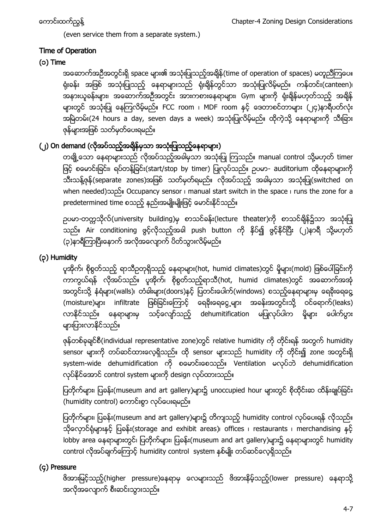(even service them from a separate system.)

## Time of Operation

## (၁) Time

အဆောက်အဦအတွင်းရှိ space များ၏ အသုံးပြုသည့်အချိန်(time of operation of spaces) မတူညီကြပေ။ ရုံးခန်း အဖြစ် အသုံးပြုသည့် နေရာများသည် ရုံးချိန်တွင်သာ အသုံးပြုလိမ့်မည်။ ကန်တင်း(canteen)၊ အနားယူခန်းများ၊ အဆောက်အဦအတွင်း အားကစားနေရာများ၊ Gym များကို ရုံးချိန်မဟုတ်သည့် အချိန် များတွင် အသုံးပြု နေကြလိမ့်မည်။ FCC room ၊ MDF room နှင့် ဒေတာစင်တာများ (၂၄)နာရီပတ်လုံး အမြဲတမ်း(24 hours a day, seven days a week) အသုံးပြုလိမ့်မည်။ ထိုကဲ့သို့ နေရာများကို သီးခြား ဇုန်များအဖြစ် သတ်မှတ်ပေးရမည်။

# (၂) On demand (လိုအပ်သည့်အရှိန်မှသာ အသုံးပြုသည့်နေရာများ)

တချို့သော နေရာများသည် လိုအပ်သည့်အခါမှသာ အသုံးပြု ကြသည်။ manual control သို့မဟုတ် timer ဖြင့် စမောင်းခြင်း၊ ရပ်တန့်ခြင်း(start/stop by timer) ပြုလုပ်သည်။ ဥပမာ- auditorium ထိုနေရာများကို သီးသန့်ဇုန်(separate zones)အဖြစ် သတ်မှတ်ရမည်။ လိုအပ်သည့် အခါမှသာ အသုံးပြု(switched on when needed)သည္။ Occupancy sensor ၊ manual start switch in the space ၊ runs the zone for a predetermined time စသည့် နည်းအမျိုးမျိုးဖြင့် မောင်းနိုင်သည်။

ဥပမာ-တကၠသိုလ္(university building)မွ စာသင္ခန္း(lecture theater)ကို စာသင္ခ်ိန္၌သာ အသုံးျပဳ သည်။ Air conditioning ဖွင့်လိုသည့်အခါ push button ကို နှိပ်၍ ဖွင့်နိုင်ပြီး (၂)နာရီ သို့မဟုတ် (၃)နာရီကြာပြီးေနာက် အလိုအလျောက် ပိတ်သွားလိမ့်မည်။

# (၃) Humidity

ပူအိုက်၊ စိုစွတ်သည့် ရာသီဥတုရှိသည့် နေရာများ(hot, humid climates)တွင် မှိုများ(mold) ဖြစ်ပေါ်ခြင်းကို ကာကွယ်ရန် လိုအပ်သည်။ ပူအိုက်၊ စိုစွတ်သည့်ရာသီ(hot, humid climates)တွင် အဆောက်အအုံ အတွင်းသို့ နံရံများ(walls)၊ တံခါးများ(doors)နင့် ပြတင်းပေါက်(windows) စသည့်နေရာများမှ ရေခိုးရေငွေ့ (moisture)များ infiltrate ဖြစ်ခြင်းကြောင့် ရေခိုးရေငွေ့များ အခန်းအတွင်းသို့ ဝင်ရောက်(leaks) လာနိုင်သည်။ နေရာများမှ သင့်လျော်သည့် dehumitification မပြုလုပ်ပါက မိုများ ပေါက်ပွား များပြားလာနိုင်သည်။

ဇုန်တစ်ခုချင်စီ(individual representative zone)တွင် relative humidity ကို တိုင်းရန် အတွက် humidity sensor များကို တပ်ဆင်ထားလေ့ရှိသည်။ ထို sensor များသည် humidity ကို တိုင်း၍ zone အတွင်းရို system-wide dehumidification ကို စေမာင္းေစသည္။ Ventilation မလုပ္ဘဲ dehumidification လုပ်နိုင်အောင် control system များကို design လုပ်ထားသည်။

ပြတိုက်များ၊ ပြခန်း(museum and art gallery)များ၌ unoccupied hour များတွင် စိုထိုင်းဆ ထိန်းချုပ်ခြင်း (humidity control) ေကာင်းစွာ လုပ်ံပေးရမည်။

ပြတိုက်များ၊ ပြခန်း(museum and art gallery)များ၌ တိကျသည့် humidity control လုပ်ပေးရန် လိုသည်။ သိုလှောင်ရုံများနှင့် ပြခန်း(storage and exhibit areas)၊ offices ၊ restaurants ၊ merchandising နှင့် lobby area နေရာများတွင်၊ ပြတိုက်များ၊ ပြခန်း(museum and art gallery)များ၌ နေရာများတွင် humidity control လိုအပ်ံချက်ကြောင့် humidity control system နစ်မျိုး တပ်ဆင်လေ့ရှိသည်။

## (၄) Pressure

ဖိအားမြင့်သည့်(higher pressure)နေရာမှ လေများသည် ဖိအားနိမ့်သည့်(lower pressure) နေရာသို့ အလိုအေလ်ာက္စီးဆင္းသြားသည္။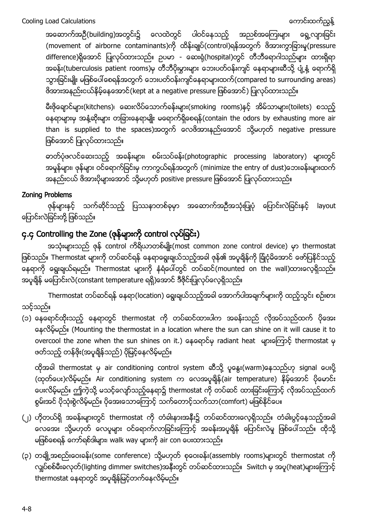အဆောက်အဉီ(building)အတွင်း၌ လေထဲတွင် ပါ၀င်နေသည့် အညစ်အကြေးများ ရွေ့လျားခြင်း (movement of airborne contaminants)ကို ထိန်းချုပ်(control)ရန်အတွက် ဖိအားကွာခြားမှု(pressure difference)ရိုအောင် ပြုလုပ်ထားသည်။ ဥပမာ - ေဆးရုံ(hospital)တွင် တီဘီရောဂါသည်များ ထားရှိရာ အခန်း(tuberculosis patient rooms)မှ တီဘီပိုးမွားများ ဘေးပတ်ဝန်းကျင် နေရာများဆီသို့ ပျံ့နှံ့ ရောက်ရှိ သွားခြင်းမျိုး မဖြစ်ပေါ်စေရန်အတွက် ဘေးပတ်ဝန်းကျင်နေရာများထက်(compared to surrounding areas) ဖိအားအနည္းငယ္နိမ့္ေနေအာင္(kept at a negative pressure ျဖစ္ေအာင္) ျပဳလုပ္ထားသည္။

မီးဖိုချောင်များ(kitchens)၊ ဆေးလိပ်သောက်ခန်းများ(smoking rooms)နှင့် အိမ်သာများ(toilets) စသည့် ေနရာမ်ားမွ အနံ႔ဆုိးမ်ား တျခားေနရာမ်ဳိး မေရာက္ရိွေစရန္(contain the odors by exhausting more air than is supplied to the spaces)အတွက် လေဖိအားနည်းအောင် သို့မဟုတ် negative pressure ျဖစ္ေအာင္ျပဳလုပ္ထားသည္။

ဓာတ်ပုံဖလင်ဆေးသည့် အခန်းများ၊ စမ်းသပ်ခန်း(photographic processing laboratory) များတွင် အမှုန်များ၊ ဖုန်များ ဝင်ရောက်ခြင်းမှ ကာကွယ်ရန်အတွက် (minimize the entry of dust)ဘေးခန်းများထက် အနည်းငယ် ဖိအားပိုများအောင် သို့မဟုတ် positive pressure ဖြစ်အောင် ပြုလုပ်ထားသည်။

## Zoning Problems

ဇုန်များနှင့် သက်ဆိုင်သည့် ပြဿနာတစ်ခုမှာ အဆောက်အဦအသုံးပြုပုံ ပြောင်းလဲခြင်းနှင့် layout ေျပာင္းလဲျခင္းတုိ႔ျဖစ္သည္။

# <span id="page-7-0"></span>၄.၄ Controlling the Zone (ဇုန္မ်ားကို control လုပ္ျခင္း)

အသုံးများသည် ဇုန် control ကိရိယာတစ်မျိုး(most common zone control device) မှာ thermostat ဖြစ်သည်။ Thermostat များကို တပ်ဆင်ရန် နေရာရွေးချယ်သည့်အခါ ဇုန်၏ အပူချိန်ကို ခြုံငုံမိအောင် ဖော်ပြနိုင်သည့် —<br>ေနရာကို ေရွးချယ်ရမည်။ Thermostat များကို နံရံပေါ်တွင် တပ်ဆင်(mounted on the wall)ထားလေ့ရှိသည်။ အပူချိန် မပြောင်းလဲ(constant temperature ရရှိ)အောင် ဒီဇိုင်းပြုလုပ်လေ့ရှိသည်။

Thermostat တပ်ဆင်ရန် နေရာ(location) ရွေးချယ်သည့်အခါ အောက်ပါအချက်များကို ထည့်သွင်း စဉ်းစား သင့္သည္။

(၁) နေရောင်ထိုးသည့် နေရာတွင် thermostat ကို တပ်ဆင်ထားပါက အခန်းသည် လိုအပ်သည်ထက် ပိုအေး ေနလိမ့္မည္။ (Mounting the thermostat in a location where the sun can shine on it will cause it to overcool the zone when the sun shines on it.) နေရောင်မှ radiant heat များေတြာင့် thermostat မှ ဖတ်သည့် တန်ဖိုး(အပူချိန်သည်) ပိုမြင့်နေလိမ့်မည်။

ထိုအခါ thermostat မှ air conditioning control system ဆီသို့ ပူနွေး(warm)နေသည်ဟု signal ပေးပို့ (ထုတ်ပေး)လိမ့်မည်။ Air conditioning system က လေအပူချိန်(air temperature) နိမ့်အောင် ပိုမောင်း ပေးလိမ့်မည်။ ဤကဲ့သို့ မသင့်လျော်သည့်နေရာ၌ thermostat ကို တပ်ဆင် ထားခြင်းကြောင့် လိုအပ်သည်ထက် စွမ်းအင် ပိုသုံးစွဲလိမ့်မည်။ ပိုအေးသောကြောင့် သက်တောင့်သက်သာ(comfort) မဖြစ်နိုင်ပေ။

- (၂) ဟိုတယ်ရို အခန်းများတွင် thermostat ကို တံခါးနားအနီး၌ တပ်ဆင်ထားလေ့ရှိသည်။ တံခါးပွင့်နေသည့်အခါ လေအေး သို့မဟုတ် လေပူများ ဝင်ရောက်လာခြင်းကြောင့် အခန်းအပူချိန် ပြောင်းလဲမှု ဖြစ်ပေါ်သည်။ ထိုသို့ မဖြစ်စေရန် ကော်ရစ်ဒါများ၊ walk way များကို air con ပေးထားသည်။
- (၃) တချို့အစည်းဝေးခန်း(some conference) သို့မဟုတ် စုဝေးခန်း(assembly rooms)များတွင် thermostat ကို လျပ်စစ်မီးခလုတ်(lighting dimmer switches)အနီးတွင် တပ်ဆင်ထားသည်။ Switch မှ အပူ(heat)များကြောင့် thermostat နေရာတွင် အပူရှိန်မြင့်တက်နေလိမ့်မည်။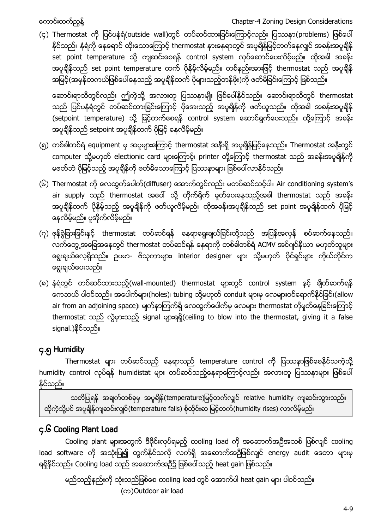(၄) Thermostat ကို ပြင်ပနံရံ(outside wall)တွင် တပ်ဆင်ထားခြင်းကြောင့်လည်း ပြဿနာ(problems) ဖြစ်ပေါ် နိုင်သည်။ နံရံကို ေနရောင် ထိုးသောကြောင့် thermostat နားနေရာတွင် အပူချိန်မြင့်တက်နေလျှင် အခန်းအပူချိန် set point temperature သို့ ကျဆင်းစေရန် control system လုပ်ဆောင်ပေးလိမ့်မည်။ ထိုအခါ အခန်း အပူချိန်သည် set point temperature ထက် ပိုနိမ့်လိမ့်မည်။ တစ်နည်းအားဖြင့် thermostat သည် အပူချိန် အမြင့်(အမှန်တကယ်ဖြစ်ပေါ်နေသည့် အပူရိုန်ထက် ပိုများသည့်တန်ဖိုး)ကို ဖတ်မိခြင်းကြောင့် ဖြစ်သည်။

ဆောင်းရာသီတွင်လည်း ဤကဲ့သို့ အလားတူ ပြဿနာမျိုး ဖြစ်ပေါ်နိုင်သည်။ ဆောင်းရာသီတွင် thermostat သည် ပြင်ပနံရံတွင် တပ်ဆင်ထားခြင်းကြောင့် ပိုအေးသည့် အပူချိန်ကို ဖတ်ယူသည်။ ထိုအခါ အခန်းအပူချိန် (setpoint temperature) သို့ မြင့်တက်စေရန် control system ေဆာင်ရွက်ပေးသည်။ ထို့ကြောင့် အခန်း အပူချိန်သည် setpoint အပူချိန်ထက် ပိုမြင့် နေလိမ့်မည်။

- (၅) တစ်ခါတစ်ရံ equipment မှ အပူများေကြာင့် thermostat အနီးရို အပူချိန်မြင့်နေသည်။ Thermostat အနီးတွင် computer သို့မဟုတ် electionic card များေကြာင့်၊ printer တို့ေကြာင့် thermostat သည် အခန်းအပူချိန်ကို မဖတ်ဘဲ ပိုမြင့်သည့် အပူချိန်ကို ဖတ်မိသောကြောင့် ပြဿနာများ ဖြစ်ပေါ်လာနိုင်သည်။
- (၆) Thermostat ကို လေထွက်ပေါက်(diffuser) အောက်တွင်လည်း မတပ်ဆင်သင့်ပါ။ Air conditioning system's air supply သည် thermostat အပေါ် သို့ တိုက်ရိုက် မှုတ်ပေးနေသည့်အခါ thermostat သည် အခန်း အပူချိန်ထက် ပိုနိမ့်သည့် အပူချိန်ကို ဖတ်ယူလိမ့်မည်။ ထိုအခန်းအပူချိန်သည် set point အပူချိန်ထက် ပိုမြင့် ေနလိမ့္မည္။ ပူအိုက္လိမ့္မည္။
- (၇) ဇုန်ခွဲခြားခြင်းနှင့် thermostat တပ်ဆင်ရန် နေရာရွေးချယ်ခြင်းတို့သည် အပြန်အလှန် စပ်ဆက်နေသည်။ လက်တွေ့အခြေအနေတွင် thermostat တပ်ဆင်ရန် နေရာကို တစ်ခါတစ်ရံ ACMV အင်ဂျင်နီယာ မဟုတ်သူများ ရွေးချယ်လေ့ရှိသည်။ ဥပမာ- ဗိသုကာများ၊ interior designer များ သို့မဟုတ် ပိုင်ရှင်များ ကိုယ်တိုင်က ေရြးခ်ယ္ေပးသည္။
- (၈) နံရံတွင် တပ်ဆင်ထားသည့်(wall-mounted) thermostat များတွင် control system နှင့် ချိတ်ဆက်ရန် ေကဘယ် ပါဝင်သည်။ အပေါက်များ(holes)၊ tubing သို့မဟုတ် conduit များမှ လေများဝင်ရောက်နိုင်ခြင်း(allow air from an adjoining space)၊ မျက်နာကြက်ရှိ လေထွက်ပေါက်မှ လေများ thermostat ကိုမူတ်နေခြင်းကြောင့် thermostat သည် လွဲမှားသည့် signal များရရှိ(ceiling to blow into the thermostat, giving it a false signal.)နိုင်သည်။

# <span id="page-8-0"></span>၄.၅ Humidity

Thermostat များ တပ်ဆင်သည့် နေရာသည် temperature control ကို ပြဿနာဖြစ်စေနိုင်သကဲ့သို့ humidity control လုပ်ရန် humidistat များ တပ်ဆင်သည့်နေရာကြောင့်လည်း အလားတူ ပြဿနာများ ဖြစ်ပေါ် နိုင်သည်။

သတိပြုရန် အချက်တစ်ခုမှ အပူချိန်(temperature)မြင့်တက်လျှင် relative humidity ကျဆင်းသွားသည်။ ထိုကဲ့သို့ပင် အပူချိန်ကျဆင်းလျှင်(temperature falls) စိုထိုင်းဆ မြင့်တက်(humidity rises) လာလိမ့်မည်။

# <span id="page-8-1"></span>၄.၆ Cooling Plant Load

Cooling plant များအတွက် ဒီဇိုင်းလုပ်ရမည့် cooling load ကို အဆောက်အဉီအသစ် ဖြစ်လျင် cooling load software ကို အသုံးပြု၍ တွက်နိုင်သလို လက်ရှိ အဆောက်အဉီဖြစ်လျင် energy audit ဒေတာ များမှ ရရှိနိုင်သည်။ Cooling load သည် အဆောက်အဦ၌ ဖြစ်ပေါ် သည့် heat gain ဖြစ်သည်။

မည်သည့်နည်းကို သုံးသည်ဖြစ်စေ cooling load တွင် အောက်ပါ heat gain များ ပါဝင်သည်။ (က)Outdoor air load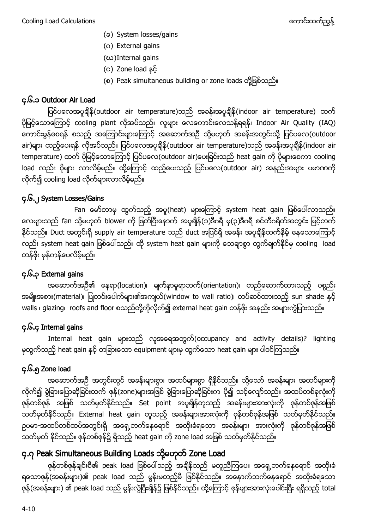- (ခ) System losses/gains
- (ဂ) External gains
- (ဃ)Internal gains
- (င) Zone load နင့်
- (စ) Peak simultaneous building or zone loads တုိ႔ျဖစ္သည္။

# <span id="page-9-0"></span>၄.၆.၁ Outdoor Air Load

ပြင်ပလေအပူချိန် (outdoor air temperature)သည် အခန်းအပူချိန် (indoor air temperature) ထက် ပိုမြင့်သောကြောင့် cooling plant လိုအပ်သည်။ လူများ လေကောင်းလေသန့်ရရန်၊ Indoor Air Quality (IAQ) ကောင်းမွန်စေရန် စသည့် အကြောင်းများကြောင့် အဆောက်အဦ သို့မဟုတ် အခန်းအတွင်းသို့ ပြင်ပလေ(outdoor air)များ ထည့်ပေးရန် လိုအပ်သည်။ ပြင်ပလေအပူချိန်(outdoor air temperature)သည် အခန်းအပူချိန်(indoor air temperature) ထက် ပိုမြင့်သောကြောင့် ပြင်ပလေ(outdoor air)ပေးခြင်းသည် heat gain ကို ပိုများစေကာ cooling load လည်း ပိုများ လာလိမ့်မည်။ ထို့ကြောင့် ထည့်ပေးသည့် ပြင်ပလေ(outdoor air) အနည်းအများ ပမာဏကို လုိက္၍ cooling load လုိက္မ်ားလာလိမ့္မည္။

# <span id="page-9-1"></span>၄.၆.၂ System Losses/Gains

Fan မော်တာမှ ထွက်သည့် အပူ(heat) များေကြာင့် system heat gain ဖြစ်ပေါ်လာသည်။ လေများသည် fan သို့မဟုတ် blower ကို ဖြတ်ပြီးေနာက် အပူချိန်(၁)ဒီဂရီ မု(၃)ဒီဂရီ စင်တီဂရိတ်အတွင်း မြင့်တက် နိုင်သည်။ Duct အတွင်းရှိ supply air temperature သည် duct အပြင်ရှိ အခန်း အပူချိန်ထက်နိမ့် နေသောကြောင့် လည်း system heat gain ဖြစ်ပေါ်သည်။ ထို system heat gain များကို သေချာစွာ တွက်ချက်နိုင်မှ cooling load တန္ဖိုး မွန္ကန္ေပလိမ့္မည္။

# <span id="page-9-2"></span>၄.၆.၃ External gains

အဆောက်အဦ၏ နေရာ(location)၊ မျက်နာမူရာဘက်(orientation)၊ တည်ဆောက်ထားသည့် ပစ္စည်း အမျိုးအစား(material)၊ ပြုတင်းပေါက်များ၏အကျယ်(window to wall ratio)၊ တပ်ဆင်ထားသည့် sun shade နှင့် walls ၊ glazing၊ roofs and floor စသည်တို့ကိုလိုက်၍ external heat gain တန်ဖိုး အနည်း အများကွဲပြားသည်။

# <span id="page-9-3"></span>၄.၆.၄ Internal gains

Internal heat gain များသည် လူအရေအတွက်(occupancy and activity details)? lighting မှထွက်သည့် heat gain နှင့် တခြားသော equipment များမှ ထွက်သော heat gain များ ပါဝင်ကြသည်။

# <span id="page-9-4"></span>၄.၆.၅ Zone load

အဆောက်အဦ အတွင်းတွင် အခန်းများစွာ၊ အထပ်များစွာ ရှိနိုင်သည်။ သို့သော် အခန်းများ အထပ်များကို လိုက်၍ ခွဲခြားပြောဆိုခြင်းထက် ဇုန်(zone)များအဖြစ် ခွဲခြားပြောဆိုခြင်းက ပို၍ သင့်လျော်သည်။ အထပ်တစ်ခုလုံးကို ဇုန်တစ်ဇုန် အဖြစ် သတ်မှတ်နိုင်သည်။ Set point အပူချိန်တူသည့် အခန်းများအားလုံးကို ဇုန်တစ်ဇုန်အဖြစ် သတ်မှတ်နိုင်သည်။ External heat gain တူသည့် အခန်းများအားလုံးကို ဇုန်တစ်ဇုန်အဖြစ် သတ်မှတ်နိုင်သည်။ ဥပမာ-အထပ်တစ်ထပ်အတွင်းရှိ အရှေ့ဘက်နေရောင် အထိုးခံရသော အခန်းများ အားလုံးကို ဇုန်တစ်ဇုန်အဖြစ် သတ်မှတ် နိုင်သည်။ ဇုန်တစ်ဇုန်၌ ရှိသည့် heat gain ကို zone load အဖြစ် သတ်မှတ်နိုင်သည်။

# <span id="page-9-5"></span>၄.၇ Peak Simultaneous Building Loads သို့မဟုတ် Zone Load

ဇုန်တစ်ဇုန်ချင်းစီ၏ peak load ဖြစ်ပေါ်သည့် အချိန်သည် မတူညီကြပေ။ အရှေ့ဘက်နေရောင် အထိုးခံ ရသောဇုန်(အခန်းများ)၏ peak load သည် မွန်းမတည့်မီ ဖြစ်နိုင်သည်။ အနောက်ဘက်နေရောင် အထိုးခံရသော ဇုန်(အခန်းများ) ၏ peak load သည် မွန်းလွဲပြီးချိန်၌ ဖြစ်နိုင်သည်။ ထို့ကြောင့် ဇုန်များအားလုံးပေါင်းပြီး ရရှိသည့် total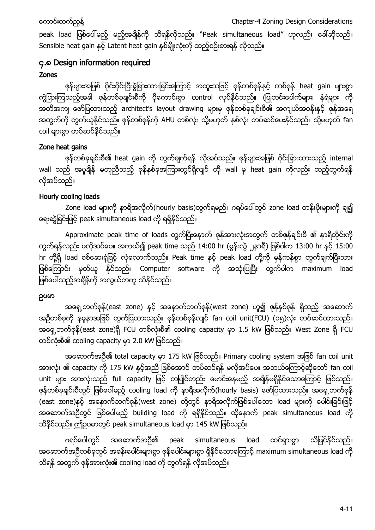peak load ဖြစ်ပေါ်မည့် မည့်အချိန်ကို သိရန်လိုသည်။ "Peak simultaneous load" ဟုလည်း ခေါ်ဆိုသည်။ Sensible heat gain နှင့် Latent heat gain နစ်မျိုးလုံးကို ထည့်စဉ်းစားရန် လိုသည်။

# <span id="page-10-0"></span>၄.၈ Design information required

# Zones

ဇုန်များအဖြစ် ပိုင်းပိုင်းပြီးခွဲခြားထားခြင်းကြောင့် အထူးသဖြင့် ဇုန်တစ်ဇုန်နှင့် တစ်ဇုန် heat gain များစွာ ကွဲပြားကြသည့်အခါ ဇုန်တစ်ခုချင်းစီကို ပိုေကာင်းစွာ control လုပ်နိုင်သည်။ (ပြုတင်းပေါက်များ၊ နံရံများ ကို အတိအကျ ဖော်ပြထားသည့် architect's layout drawing များမှ ဇုန်တစ်ခုချင်းစီ၏ အကျယ်အဝန်းနှင့် ဇုန်အရေ အတွက်ကို တွက်ယူနိုင်သည်။ ဇုန်တစ်ဇုန်ကို AHU တစ်လုံး သို့မဟုတ် နှစ်လုံး တပ်ဆင်ပေးနိုင်သည်။ သို့မဟုတ် fan coil များစွာ တပ်ဆင်နိုင်သည်။

# Zone heat gains

ဇုန်တစ်ခုချင်းစီ၏ heat gain ကို တွက်ချက်ရန် လိုအပ်သည်။ ဇုန်များအဖြစ် ပိုင်းခြားထားသည့် internal wall သည် အပူချိန် မတူညီသည့် ဇုန်နစ်ခုအကြားတွင်ရှိလျင် ထို wall မှ heat gain ကိုလည်း ထည့်တွက်ရန် လုိအပ္သည္။

# Hourly cooling loads

Zone load များကို နာရီအလိုက်(hourly basis)တွက်ရမည်။ ဂရပ်ပေါ်တွင် zone load တန်းဖိုးများကို ချ၍ နေးဆွဲခြင်းဖြင့် peak simultaneous load ကို ရရှိနိုင်သည်။

Approximate peak time of loads တွက်ပြီးေနာက် ဇုန်အားလုံးအတွက် တစ်ဇုန်ချင်းစီ ၏ နာရီတိုင်းကို တွက်ရန်လည်း မလိုအပ်ံပေ။ အကယ်၍ peak time သည် 14:00 hr (မွန်းလွဲ ၂နာရီ) ဖြစ်ပါက 13:00 hr နှင့် 15:00 hr တို့ရှိ load စစ်ဆေးရုံဖြင့် လုံလောက်သည်။ Peak time နှင့် peak load တို့ကို မှန်ကန်စွာ တွက်ချက်ပြီးသား ဖြစ်ကြောင်း မှတ်ယူ နိုင်သည်။ Computer software ကို အသုံးပြုပြီး တွက်ပါက maximum load ဖြစ်ပေါ်သည့်အချိန်ကို အလွယ်တကူ သိနိုင်သည်။

# ဥပမာ

အရှေ့ဘက်ဇုန်(east zone) နှင့် အနောက်ဘက်ဇုန်(west zone) ဟူ၍ ဇုန်နစ်ဇုန် ရှိသည့် အဆောက် အဦတစ်ခုကို နမူနာအဖြစ် တွက်ပြထားသည်။ ဇုန်တစ်ဇုန်လျင် fan coil unit(FCU) (၁၅)လုံး တပ်ဆင်ထားသည်။ အရှေ့ဘက်ဇုန် (east zone)ရှိ FCU တစ်လုံးစီ၏ cooling capacity မှာ 1.5 kW ဖြစ်သည်။ West Zone ရှိ FCU တစ်လုံးစီ၏ cooling capacity မှာ 2.0 kW ဖြစ်သည်။

အဆောက်အဉီ၏ total capacity မှာ 175 kW ဖြစ်သည်။ Primary cooling system အဖြစ် fan coil unit အားလုံး ၏ capacity ကို 175 kW နင့်အညီ ဖြစ်အောင် တပ်ဆင်ရန် မလိုအပ်ပေ။ အဘယ်ကြောင့်ဆိုသော် fan coil unit များ အားလုံးသည် full capacity ဖြင့် တပြိုင်တည်း မောင်းနေမည့် အချိန်မရှိနိုင်သောကြောင့် ဖြစ်သည်။ ဇုန်တစ်ခုချင်းစီတွင် ဖြစ်ပေါ်မည့် cooling load ကို နာရီအလိုက်(hourly basis) ဖော်ပြထားသည်။ အရှေ့ဘက်ဇုန် (east zone)နှင့် အနောက်ဘက်ဇုန်(west zone) တို့တွင် နာရီအလိုက်ဖြစ်ပေါ်သော load များကို ပေါင်းခြင်းဖြင့် အဆောက်အဉီတွင် ဖြစ်ပေါ်မည့် building load ကို ရရှိနိုင်သည်။ ထိုနောက် peak simultaneous load ကို သိနိုင်သည်။ ဤဥပမာတွင် peak simultaneous load မှာ 145 kW ဖြစ်သည်။

ဂရပ်ပေါ်တွင် အဆောက်အဦ၏ peak simultaneous load ထင်ရှားစွာ သိမြင်နိုင်သည်။ အဆောက်အဦတစ်ခုတွင် အခန်းပေါင်းများစွာ ဇုန်ပေါင်းများစွာ ရှိနိုင်သောကြောင့် maximum simultaneous load ကို သိရန် အတွက် ဇုန်အားလုံး၏ cooling load ကို တွက်ရန် လိုအပ်သည်။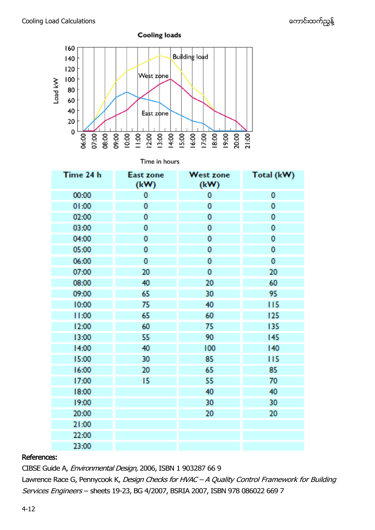

Time in hours

| Time 24 h | East zone<br>(kW) | <b>West zone</b><br>(kW) | Total (kW) |
|-----------|-------------------|--------------------------|------------|
| 00:00     | 0                 | 0                        | 0          |
| 01:00     | 0                 | 0                        | 0          |
| 02:00     | 0                 | 0                        | 0          |
| 03:00     | 0                 | 0                        | 0          |
| 04:00     | 0                 | 0                        | 0          |
| 05:00     | 0                 | 0                        | 0          |
| 06:00     | 0                 | 0                        | 0          |
| 07:00     | 20                | 0                        | 20         |
| 08:00     | 40                | 20                       | 60         |
| 09:00     | 65                | 30                       | 95         |
| 10:00     | 75                | 40                       | 115        |
| 11:00     | 65                | 60                       | 125        |
| 12:00     | 60                | 75                       | 135        |
| 13:00     | 55                | 90                       | 145        |
| 14:00     | 40                | 100                      | 140        |
| 15:00     | 30                | 85                       | 115        |
| 16:00     | 20                | 65                       | 85         |
| 17:00     | 15                | 55                       | 70         |
| 18:00     |                   | 40                       | 40         |
| 19:00     |                   | 30                       | 30         |
| 20:00     |                   | 20                       | 20         |
| 21:00     |                   |                          |            |
| 22:00     |                   |                          |            |
| 23:00     |                   |                          |            |

#### References:

CIBSE Guide A, Environmental Design, 2006, ISBN 1 903287 66 9

Lawrence Race G, Pennycook K, Design Checks for HVAC - A Quality Control Framework for Building Services Engineers – sheets 19-23, BG 4/2007, BSRIA 2007, ISBN 978 086022 669 7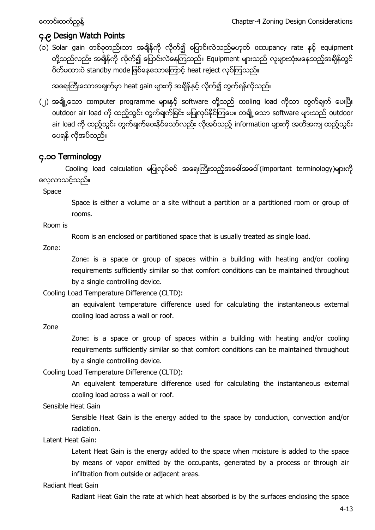# <span id="page-12-0"></span>၄.၉ Design Watch Points

(၁) Solar gain တစ်ခုတည်းသာ အချိန်ကို လိုက်၍ ပြောင်းလဲသည်မဟုတ် occupancy rate နှင့် equipment တို့သည်လည်း အချိန်ကို လိုက်၍ ပြောင်းလဲနေကြသည်။ Equipment များသည် လူများသုံးမနေသည့်အချိန်တွင် ပိတ်မထားပဲ standby mode ဖြစ်နေသောကြောင့် heat reject လုပ်ကြသည်။

အရေးကြီးသောအချက်မှာ heat gain များကို အချိန်နှင့် လိုက်၍ တွက်ရန်လိုသည်။

(၂) အချို့သော computer programme များနှင့် software တို့သည် cooling load ကိုသာ တွက်ချက် ပေးပြီး outdoor air load ကို ထည့်သွင်း တွက်ချက်ခြင်း မပြုလုပ်နိုင်ကြပေ။ တချို့ သော software များသည် outdoor air load ကို ထည့်သွင်း တွက်ချက်ပေးနိုင်သော်လည်း လိုအပ်သည့် information များကို အတိအကျ ထည့်သွင်း ေပရန္လိုအပ္သည္။

# <span id="page-12-1"></span>၄.၁၀ Terminology

Cooling load calculation မပြုလုပ်ခင် အရေးကြီးသည့်အခေါ်အဝေါ် (important terminology)များကို ေလ့လာသင့္သည္။

Space

Space is either a volume or a site without a partition or a partitioned room or group of rooms.

Room is

Room is an enclosed or partitioned space that is usually treated as single load.

Zone:

Zone: is a space or group of spaces within a building with heating and/or cooling requirements sufficiently similar so that comfort conditions can be maintained throughout by a single controlling device.

Cooling Load Temperature Difference (CLTD):

an equivalent temperature difference used for calculating the instantaneous external cooling load across a wall or roof.

Zone

Zone: is a space or group of spaces within a building with heating and/or cooling requirements sufficiently similar so that comfort conditions can be maintained throughout by a single controlling device.

Cooling Load Temperature Difference (CLTD):

An equivalent temperature difference used for calculating the instantaneous external cooling load across a wall or roof.

Sensible Heat Gain

Sensible Heat Gain is the energy added to the space by conduction, convection and/or radiation.

Latent Heat Gain:

Latent Heat Gain is the energy added to the space when moisture is added to the space by means of vapor emitted by the occupants, generated by a process or through air infiltration from outside or adjacent areas.

## Radiant Heat Gain

Radiant Heat Gain the rate at which heat absorbed is by the surfaces enclosing the space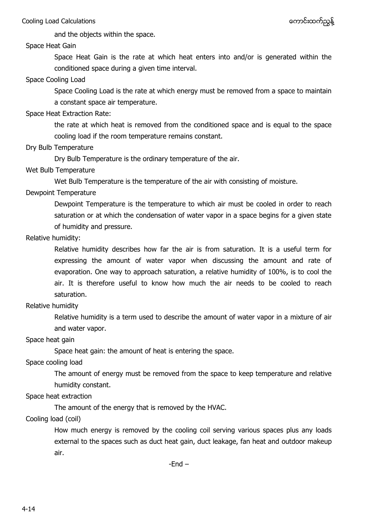and the objects within the space.

#### Space Heat Gain

Space Heat Gain is the rate at which heat enters into and/or is generated within the conditioned space during a given time interval.

#### Space Cooling Load

Space Cooling Load is the rate at which energy must be removed from a space to maintain a constant space air temperature.

#### Space Heat Extraction Rate:

the rate at which heat is removed from the conditioned space and is equal to the space cooling load if the room temperature remains constant.

#### Dry Bulb Temperature

Dry Bulb Temperature is the ordinary temperature of the air.

### Wet Bulb Temperature

Wet Bulb Temperature is the temperature of the air with consisting of moisture.

### Dewpoint Temperature

Dewpoint Temperature is the temperature to which air must be cooled in order to reach saturation or at which the condensation of water vapor in a space begins for a given state of humidity and pressure.

#### Relative humidity:

Relative humidity describes how far the air is from saturation. It is a useful term for expressing the amount of water vapor when discussing the amount and rate of evaporation. One way to approach saturation, a relative humidity of 100%, is to cool the air. It is therefore useful to know how much the air needs to be cooled to reach saturation.

#### Relative humidity

Relative humidity is a term used to describe the amount of water vapor in a mixture of air and water vapor.

#### Space heat gain

Space heat gain: the amount of heat is entering the space.

## Space cooling load

The amount of energy must be removed from the space to keep temperature and relative humidity constant.

## Space heat extraction

The amount of the energy that is removed by the HVAC.

## Cooling load (coil)

How much energy is removed by the cooling coil serving various spaces plus any loads external to the spaces such as duct heat gain, duct leakage, fan heat and outdoor makeup air.